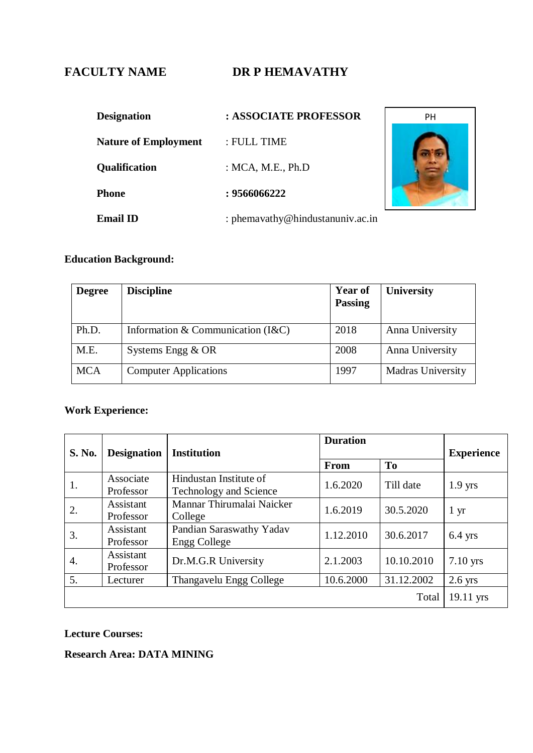# FACULTY NAME DR P HEMAVATHY

| <b>Designation</b>          | : ASSOCIATE PROFESSOR            |  |
|-----------------------------|----------------------------------|--|
| <b>Nature of Employment</b> | : FULL TIME                      |  |
| <b>Qualification</b>        | : MCA, M.E., $Ph.D$              |  |
| <b>Phone</b>                | : 9566066222                     |  |
| <b>Email ID</b>             | : phemavathy@hindustanuniv.ac.in |  |



## **Education Background:**

| <b>Degree</b> | <b>Discipline</b>                     | <b>Year of</b><br><b>Passing</b> | <b>University</b>        |
|---------------|---------------------------------------|----------------------------------|--------------------------|
| Ph.D.         | Information & Communication $(I & C)$ | 2018                             | Anna University          |
| M.E.          | Systems Engg $&$ OR                   | 2008                             | Anna University          |
| <b>MCA</b>    | <b>Computer Applications</b>          | 1997                             | <b>Madras University</b> |

# **Work Experience:**

| <b>S. No.</b> | <b>Designation</b> | <b>Institution</b>                       | <b>Duration</b> |            | <b>Experience</b> |
|---------------|--------------------|------------------------------------------|-----------------|------------|-------------------|
|               |                    |                                          | From            | <b>To</b>  |                   |
| 1.            | Associate          | Hindustan Institute of                   | 1.6.2020        | Till date  | $1.9$ yrs         |
|               | Professor          | <b>Technology and Science</b>            |                 |            |                   |
| 2.            | Assistant          | Mannar Thirumalai Naicker                | 1.6.2019        | 30.5.2020  | $1 \mathrm{yr}$   |
|               | Professor          | College                                  |                 |            |                   |
| 3.            | Assistant          | Pandian Saraswathy Yadav<br>Engg College | 1.12.2010       | 30.6.2017  | $6.4$ yrs         |
|               | Professor          |                                          |                 |            |                   |
| 4.            | Assistant          | Dr.M.G.R University                      | 2.1.2003        | 10.10.2010 | $7.10$ yrs        |
|               | Professor          |                                          |                 |            |                   |
| 5.            | Lecturer           | Thangavelu Engg College                  | 10.6.2000       | 31.12.2002 | $2.6$ yrs         |
|               |                    |                                          |                 | Total      | $19.11$ yrs       |

## **Lecture Courses:**

**Research Area: DATA MINING**